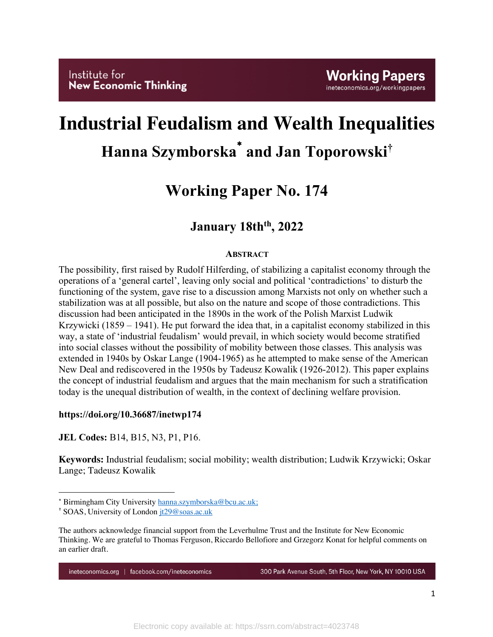# **Industrial Feudalism and Wealth Inequalities Hanna Szymborska**\* **and Jan Toporowski†**

## **Working Paper No. 174**

### January 18th<sup>th</sup>, 2022

#### **ABSTRACT**

The possibility, first raised by Rudolf Hilferding, of stabilizing a capitalist economy through the operations of a 'general cartel', leaving only social and political 'contradictions' to disturb the functioning of the system, gave rise to a discussion among Marxists not only on whether such a stabilization was at all possible, but also on the nature and scope of those contradictions. This discussion had been anticipated in the 1890s in the work of the Polish Marxist Ludwik Krzywicki (1859 – 1941). He put forward the idea that, in a capitalist economy stabilized in this way, a state of 'industrial feudalism' would prevail, in which society would become stratified into social classes without the possibility of mobility between those classes. This analysis was extended in 1940s by Oskar Lange (1904-1965) as he attempted to make sense of the American New Deal and rediscovered in the 1950s by Tadeusz Kowalik (1926-2012). This paper explains the concept of industrial feudalism and argues that the main mechanism for such a stratification today is the unequal distribution of wealth, in the context of declining welfare provision.

#### **https://doi.org/10.36687/inetwp174**

**JEL Codes:** B14, B15, N3, P1, P16.

**Keywords:** Industrial feudalism; social mobility; wealth distribution; Ludwik Krzywicki; Oskar Lange; Tadeusz Kowalik

ineteconomics.org | facebook.com/ineteconomics

300 Park Avenue South, 5th Floor, New York, NY 10010 USA

<sup>\*</sup> Birmingham City University hanna.szymborska@bcu.ac.uk;

<sup>&</sup>lt;sup>†</sup> SOAS, University of London <u>jt29@soas.ac.uk</u>

The authors acknowledge financial support from the Leverhulme Trust and the Institute for New Economic Thinking. We are grateful to Thomas Ferguson, Riccardo Bellofiore and Grzegorz Konat for helpful comments on an earlier draft.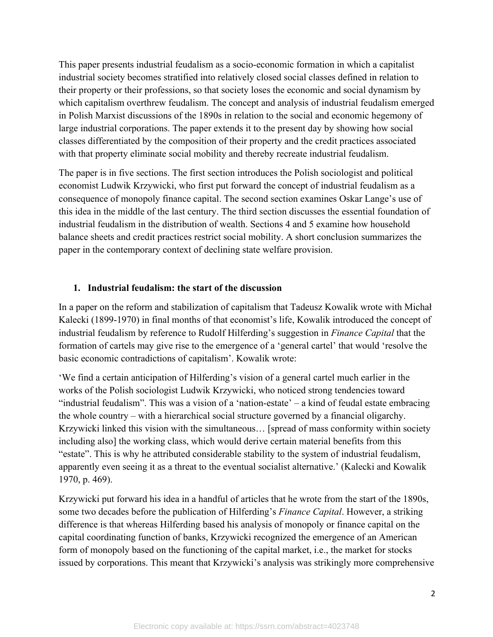This paper presents industrial feudalism as a socio-economic formation in which a capitalist industrial society becomes stratified into relatively closed social classes defined in relation to their property or their professions, so that society loses the economic and social dynamism by which capitalism overthrew feudalism. The concept and analysis of industrial feudalism emerged in Polish Marxist discussions of the 1890s in relation to the social and economic hegemony of large industrial corporations. The paper extends it to the present day by showing how social classes differentiated by the composition of their property and the credit practices associated with that property eliminate social mobility and thereby recreate industrial feudalism.

The paper is in five sections. The first section introduces the Polish sociologist and political economist Ludwik Krzywicki, who first put forward the concept of industrial feudalism as a consequence of monopoly finance capital. The second section examines Oskar Lange's use of this idea in the middle of the last century. The third section discusses the essential foundation of industrial feudalism in the distribution of wealth. Sections 4 and 5 examine how household balance sheets and credit practices restrict social mobility. A short conclusion summarizes the paper in the contemporary context of declining state welfare provision.

#### **1. Industrial feudalism: the start of the discussion**

In a paper on the reform and stabilization of capitalism that Tadeusz Kowalik wrote with Michał Kalecki (1899-1970) in final months of that economist's life, Kowalik introduced the concept of industrial feudalism by reference to Rudolf Hilferding's suggestion in *Finance Capital* that the formation of cartels may give rise to the emergence of a 'general cartel' that would 'resolve the basic economic contradictions of capitalism'. Kowalik wrote:

'We find a certain anticipation of Hilferding's vision of a general cartel much earlier in the works of the Polish sociologist Ludwik Krzywicki, who noticed strong tendencies toward "industrial feudalism". This was a vision of a 'nation-estate' – a kind of feudal estate embracing the whole country – with a hierarchical social structure governed by a financial oligarchy. Krzywicki linked this vision with the simultaneous… [spread of mass conformity within society including also] the working class, which would derive certain material benefits from this "estate". This is why he attributed considerable stability to the system of industrial feudalism, apparently even seeing it as a threat to the eventual socialist alternative.' (Kalecki and Kowalik 1970, p. 469).

Krzywicki put forward his idea in a handful of articles that he wrote from the start of the 1890s, some two decades before the publication of Hilferding's *Finance Capital*. However, a striking difference is that whereas Hilferding based his analysis of monopoly or finance capital on the capital coordinating function of banks, Krzywicki recognized the emergence of an American form of monopoly based on the functioning of the capital market, i.e., the market for stocks issued by corporations. This meant that Krzywicki's analysis was strikingly more comprehensive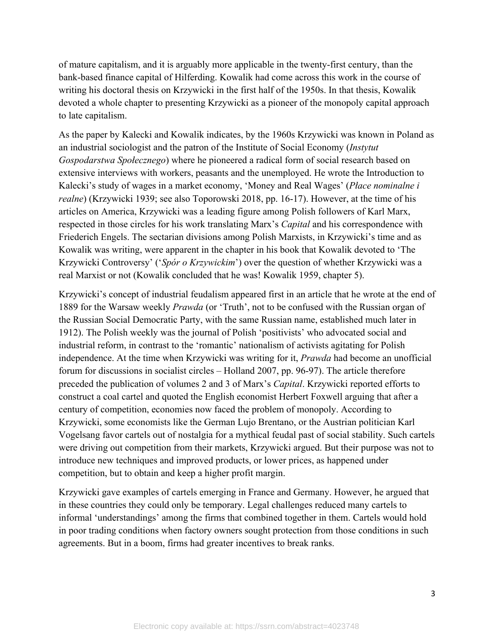of mature capitalism, and it is arguably more applicable in the twenty-first century, than the bank-based finance capital of Hilferding. Kowalik had come across this work in the course of writing his doctoral thesis on Krzywicki in the first half of the 1950s. In that thesis, Kowalik devoted a whole chapter to presenting Krzywicki as a pioneer of the monopoly capital approach to late capitalism.

As the paper by Kalecki and Kowalik indicates, by the 1960s Krzywicki was known in Poland as an industrial sociologist and the patron of the Institute of Social Economy (*Instytut Gospodarstwa Społecznego*) where he pioneered a radical form of social research based on extensive interviews with workers, peasants and the unemployed. He wrote the Introduction to Kalecki's study of wages in a market economy, 'Money and Real Wages' (*Płace nominalne i realne*) (Krzywicki 1939; see also Toporowski 2018, pp. 16-17). However, at the time of his articles on America, Krzywicki was a leading figure among Polish followers of Karl Marx, respected in those circles for his work translating Marx's *Capital* and his correspondence with Friederich Engels. The sectarian divisions among Polish Marxists, in Krzywicki's time and as Kowalik was writing, were apparent in the chapter in his book that Kowalik devoted to 'The Krzywicki Controversy' ('*Spór o Krzywickim*') over the question of whether Krzywicki was a real Marxist or not (Kowalik concluded that he was! Kowalik 1959, chapter 5).

Krzywicki's concept of industrial feudalism appeared first in an article that he wrote at the end of 1889 for the Warsaw weekly *Prawda* (or 'Truth', not to be confused with the Russian organ of the Russian Social Democratic Party, with the same Russian name, established much later in 1912). The Polish weekly was the journal of Polish 'positivists' who advocated social and industrial reform, in contrast to the 'romantic' nationalism of activists agitating for Polish independence. At the time when Krzywicki was writing for it, *Prawda* had become an unofficial forum for discussions in socialist circles – Holland 2007, pp. 96-97). The article therefore preceded the publication of volumes 2 and 3 of Marx's *Capital*. Krzywicki reported efforts to construct a coal cartel and quoted the English economist Herbert Foxwell arguing that after a century of competition, economies now faced the problem of monopoly. According to Krzywicki, some economists like the German Lujo Brentano, or the Austrian politician Karl Vogelsang favor cartels out of nostalgia for a mythical feudal past of social stability. Such cartels were driving out competition from their markets, Krzywicki argued. But their purpose was not to introduce new techniques and improved products, or lower prices, as happened under competition, but to obtain and keep a higher profit margin.

Krzywicki gave examples of cartels emerging in France and Germany. However, he argued that in these countries they could only be temporary. Legal challenges reduced many cartels to informal 'understandings' among the firms that combined together in them. Cartels would hold in poor trading conditions when factory owners sought protection from those conditions in such agreements. But in a boom, firms had greater incentives to break ranks.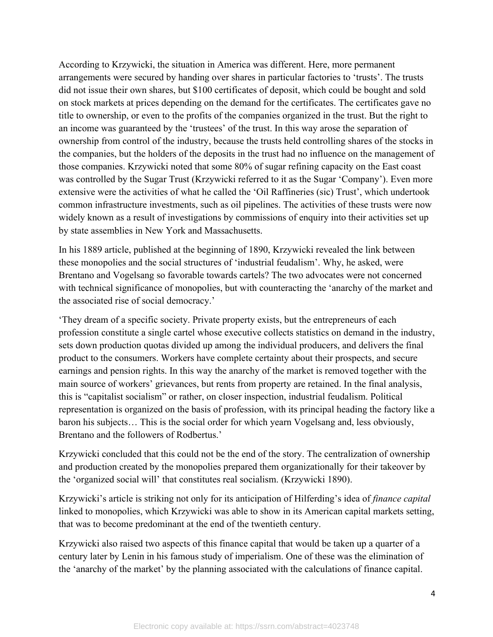According to Krzywicki, the situation in America was different. Here, more permanent arrangements were secured by handing over shares in particular factories to 'trusts'. The trusts did not issue their own shares, but \$100 certificates of deposit, which could be bought and sold on stock markets at prices depending on the demand for the certificates. The certificates gave no title to ownership, or even to the profits of the companies organized in the trust. But the right to an income was guaranteed by the 'trustees' of the trust. In this way arose the separation of ownership from control of the industry, because the trusts held controlling shares of the stocks in the companies, but the holders of the deposits in the trust had no influence on the management of those companies. Krzywicki noted that some 80% of sugar refining capacity on the East coast was controlled by the Sugar Trust (Krzywicki referred to it as the Sugar 'Company'). Even more extensive were the activities of what he called the 'Oil Raffineries (sic) Trust', which undertook common infrastructure investments, such as oil pipelines. The activities of these trusts were now widely known as a result of investigations by commissions of enquiry into their activities set up by state assemblies in New York and Massachusetts.

In his 1889 article, published at the beginning of 1890, Krzywicki revealed the link between these monopolies and the social structures of 'industrial feudalism'. Why, he asked, were Brentano and Vogelsang so favorable towards cartels? The two advocates were not concerned with technical significance of monopolies, but with counteracting the 'anarchy of the market and the associated rise of social democracy.'

'They dream of a specific society. Private property exists, but the entrepreneurs of each profession constitute a single cartel whose executive collects statistics on demand in the industry, sets down production quotas divided up among the individual producers, and delivers the final product to the consumers. Workers have complete certainty about their prospects, and secure earnings and pension rights. In this way the anarchy of the market is removed together with the main source of workers' grievances, but rents from property are retained. In the final analysis, this is "capitalist socialism" or rather, on closer inspection, industrial feudalism. Political representation is organized on the basis of profession, with its principal heading the factory like a baron his subjects… This is the social order for which yearn Vogelsang and, less obviously, Brentano and the followers of Rodbertus.'

Krzywicki concluded that this could not be the end of the story. The centralization of ownership and production created by the monopolies prepared them organizationally for their takeover by the 'organized social will' that constitutes real socialism. (Krzywicki 1890).

Krzywicki's article is striking not only for its anticipation of Hilferding's idea of *finance capital* linked to monopolies, which Krzywicki was able to show in its American capital markets setting, that was to become predominant at the end of the twentieth century.

Krzywicki also raised two aspects of this finance capital that would be taken up a quarter of a century later by Lenin in his famous study of imperialism. One of these was the elimination of the 'anarchy of the market' by the planning associated with the calculations of finance capital.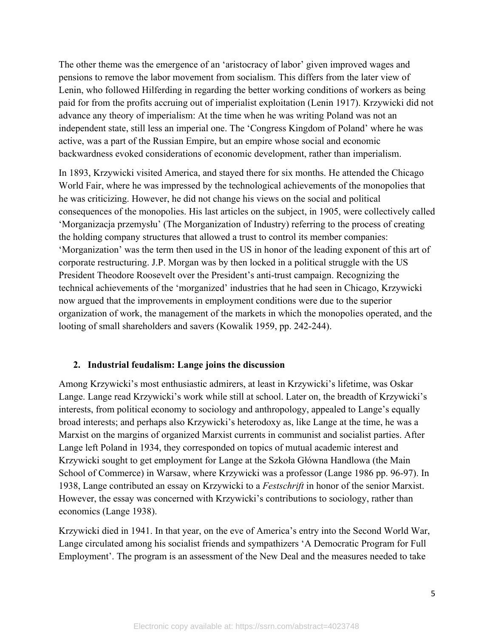The other theme was the emergence of an 'aristocracy of labor' given improved wages and pensions to remove the labor movement from socialism. This differs from the later view of Lenin, who followed Hilferding in regarding the better working conditions of workers as being paid for from the profits accruing out of imperialist exploitation (Lenin 1917). Krzywicki did not advance any theory of imperialism: At the time when he was writing Poland was not an independent state, still less an imperial one. The 'Congress Kingdom of Poland' where he was active, was a part of the Russian Empire, but an empire whose social and economic backwardness evoked considerations of economic development, rather than imperialism.

In 1893, Krzywicki visited America, and stayed there for six months. He attended the Chicago World Fair, where he was impressed by the technological achievements of the monopolies that he was criticizing. However, he did not change his views on the social and political consequences of the monopolies. His last articles on the subject, in 1905, were collectively called 'Morganizacja przemysłu' (The Morganization of Industry) referring to the process of creating the holding company structures that allowed a trust to control its member companies: 'Morganization' was the term then used in the US in honor of the leading exponent of this art of corporate restructuring. J.P. Morgan was by then locked in a political struggle with the US President Theodore Roosevelt over the President's anti-trust campaign. Recognizing the technical achievements of the 'morganized' industries that he had seen in Chicago, Krzywicki now argued that the improvements in employment conditions were due to the superior organization of work, the management of the markets in which the monopolies operated, and the looting of small shareholders and savers (Kowalik 1959, pp. 242-244).

#### **2. Industrial feudalism: Lange joins the discussion**

Among Krzywicki's most enthusiastic admirers, at least in Krzywicki's lifetime, was Oskar Lange. Lange read Krzywicki's work while still at school. Later on, the breadth of Krzywicki's interests, from political economy to sociology and anthropology, appealed to Lange's equally broad interests; and perhaps also Krzywicki's heterodoxy as, like Lange at the time, he was a Marxist on the margins of organized Marxist currents in communist and socialist parties. After Lange left Poland in 1934, they corresponded on topics of mutual academic interest and Krzywicki sought to get employment for Lange at the Szkoła Główna Handlowa (the Main School of Commerce) in Warsaw, where Krzywicki was a professor (Lange 1986 pp. 96-97). In 1938, Lange contributed an essay on Krzywicki to a *Festschrift* in honor of the senior Marxist. However, the essay was concerned with Krzywicki's contributions to sociology, rather than economics (Lange 1938).

Krzywicki died in 1941. In that year, on the eve of America's entry into the Second World War, Lange circulated among his socialist friends and sympathizers 'A Democratic Program for Full Employment'. The program is an assessment of the New Deal and the measures needed to take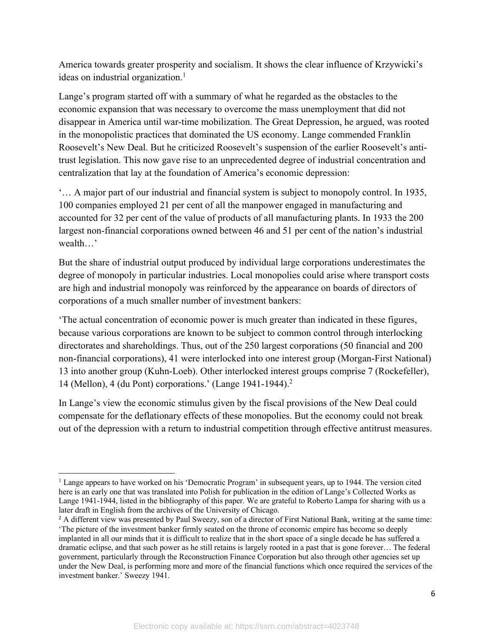America towards greater prosperity and socialism. It shows the clear influence of Krzywicki's ideas on industrial organization. 1

Lange's program started off with a summary of what he regarded as the obstacles to the economic expansion that was necessary to overcome the mass unemployment that did not disappear in America until war-time mobilization. The Great Depression, he argued, was rooted in the monopolistic practices that dominated the US economy. Lange commended Franklin Roosevelt's New Deal. But he criticized Roosevelt's suspension of the earlier Roosevelt's antitrust legislation. This now gave rise to an unprecedented degree of industrial concentration and centralization that lay at the foundation of America's economic depression:

'… A major part of our industrial and financial system is subject to monopoly control. In 1935, 100 companies employed 21 per cent of all the manpower engaged in manufacturing and accounted for 32 per cent of the value of products of all manufacturing plants. In 1933 the 200 largest non-financial corporations owned between 46 and 51 per cent of the nation's industrial wealth…'

But the share of industrial output produced by individual large corporations underestimates the degree of monopoly in particular industries. Local monopolies could arise where transport costs are high and industrial monopoly was reinforced by the appearance on boards of directors of corporations of a much smaller number of investment bankers:

'The actual concentration of economic power is much greater than indicated in these figures, because various corporations are known to be subject to common control through interlocking directorates and shareholdings. Thus, out of the 250 largest corporations (50 financial and 200 non-financial corporations), 41 were interlocked into one interest group (Morgan-First National) 13 into another group (Kuhn-Loeb). Other interlocked interest groups comprise 7 (Rockefeller), 14 (Mellon), 4 (du Pont) corporations.' (Lange 1941-1944).2

In Lange's view the economic stimulus given by the fiscal provisions of the New Deal could compensate for the deflationary effects of these monopolies. But the economy could not break out of the depression with a return to industrial competition through effective antitrust measures.

<sup>&</sup>lt;sup>1</sup> Lange appears to have worked on his 'Democratic Program' in subsequent years, up to 1944. The version cited here is an early one that was translated into Polish for publication in the edition of Lange's Collected Works as Lange 1941-1944, listed in the bibliography of this paper. We are grateful to Roberto Lampa for sharing with us a later draft in English from the archives of the University of Chicago.

<sup>&</sup>lt;sup>2</sup> A different view was presented by Paul Sweezy, son of a director of First National Bank, writing at the same time: 'The picture of the investment banker firmly seated on the throne of economic empire has become so deeply implanted in all our minds that it is difficult to realize that in the short space of a single decade he has suffered a dramatic eclipse, and that such power as he still retains is largely rooted in a past that is gone forever… The federal government, particularly through the Reconstruction Finance Corporation but also through other agencies set up under the New Deal, is performing more and more of the financial functions which once required the services of the investment banker.' Sweezy 1941.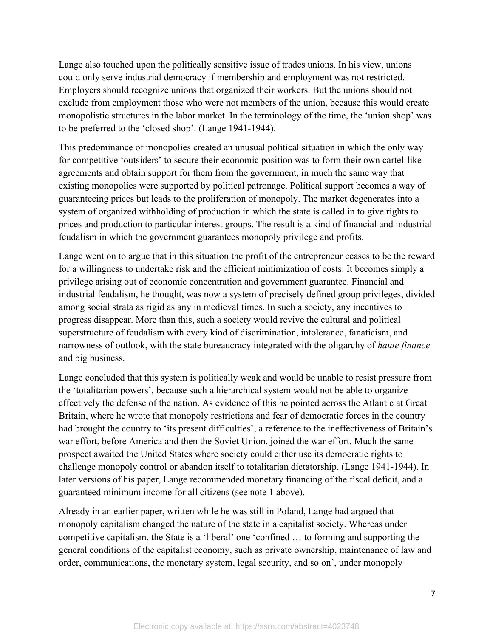Lange also touched upon the politically sensitive issue of trades unions. In his view, unions could only serve industrial democracy if membership and employment was not restricted. Employers should recognize unions that organized their workers. But the unions should not exclude from employment those who were not members of the union, because this would create monopolistic structures in the labor market. In the terminology of the time, the 'union shop' was to be preferred to the 'closed shop'. (Lange 1941-1944).

This predominance of monopolies created an unusual political situation in which the only way for competitive 'outsiders' to secure their economic position was to form their own cartel-like agreements and obtain support for them from the government, in much the same way that existing monopolies were supported by political patronage. Political support becomes a way of guaranteeing prices but leads to the proliferation of monopoly. The market degenerates into a system of organized withholding of production in which the state is called in to give rights to prices and production to particular interest groups. The result is a kind of financial and industrial feudalism in which the government guarantees monopoly privilege and profits.

Lange went on to argue that in this situation the profit of the entrepreneur ceases to be the reward for a willingness to undertake risk and the efficient minimization of costs. It becomes simply a privilege arising out of economic concentration and government guarantee. Financial and industrial feudalism, he thought, was now a system of precisely defined group privileges, divided among social strata as rigid as any in medieval times. In such a society, any incentives to progress disappear. More than this, such a society would revive the cultural and political superstructure of feudalism with every kind of discrimination, intolerance, fanaticism, and narrowness of outlook, with the state bureaucracy integrated with the oligarchy of *haute finance* and big business.

Lange concluded that this system is politically weak and would be unable to resist pressure from the 'totalitarian powers', because such a hierarchical system would not be able to organize effectively the defense of the nation. As evidence of this he pointed across the Atlantic at Great Britain, where he wrote that monopoly restrictions and fear of democratic forces in the country had brought the country to 'its present difficulties', a reference to the ineffectiveness of Britain's war effort, before America and then the Soviet Union, joined the war effort. Much the same prospect awaited the United States where society could either use its democratic rights to challenge monopoly control or abandon itself to totalitarian dictatorship. (Lange 1941-1944). In later versions of his paper, Lange recommended monetary financing of the fiscal deficit, and a guaranteed minimum income for all citizens (see note 1 above).

Already in an earlier paper, written while he was still in Poland, Lange had argued that monopoly capitalism changed the nature of the state in a capitalist society. Whereas under competitive capitalism, the State is a 'liberal' one 'confined … to forming and supporting the general conditions of the capitalist economy, such as private ownership, maintenance of law and order, communications, the monetary system, legal security, and so on', under monopoly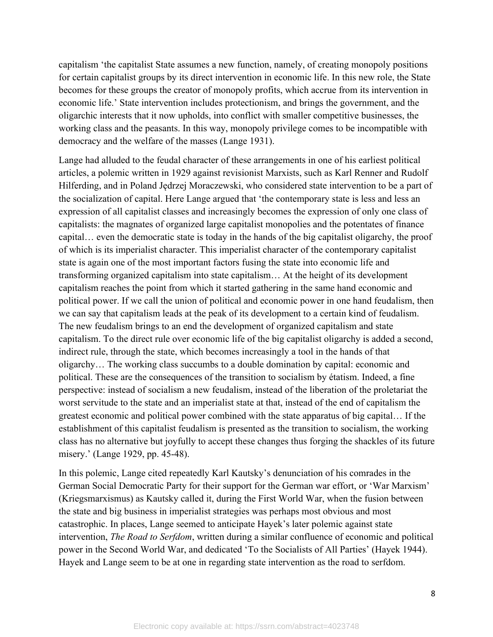capitalism 'the capitalist State assumes a new function, namely, of creating monopoly positions for certain capitalist groups by its direct intervention in economic life. In this new role, the State becomes for these groups the creator of monopoly profits, which accrue from its intervention in economic life.' State intervention includes protectionism, and brings the government, and the oligarchic interests that it now upholds, into conflict with smaller competitive businesses, the working class and the peasants. In this way, monopoly privilege comes to be incompatible with democracy and the welfare of the masses (Lange 1931).

Lange had alluded to the feudal character of these arrangements in one of his earliest political articles, a polemic written in 1929 against revisionist Marxists, such as Karl Renner and Rudolf Hilferding, and in Poland Jędrzej Moraczewski, who considered state intervention to be a part of the socialization of capital. Here Lange argued that 'the contemporary state is less and less an expression of all capitalist classes and increasingly becomes the expression of only one class of capitalists: the magnates of organized large capitalist monopolies and the potentates of finance capital… even the democratic state is today in the hands of the big capitalist oligarchy, the proof of which is its imperialist character. This imperialist character of the contemporary capitalist state is again one of the most important factors fusing the state into economic life and transforming organized capitalism into state capitalism… At the height of its development capitalism reaches the point from which it started gathering in the same hand economic and political power. If we call the union of political and economic power in one hand feudalism, then we can say that capitalism leads at the peak of its development to a certain kind of feudalism. The new feudalism brings to an end the development of organized capitalism and state capitalism. To the direct rule over economic life of the big capitalist oligarchy is added a second, indirect rule, through the state, which becomes increasingly a tool in the hands of that oligarchy… The working class succumbs to a double domination by capital: economic and political. These are the consequences of the transition to socialism by étatism. Indeed, a fine perspective: instead of socialism a new feudalism, instead of the liberation of the proletariat the worst servitude to the state and an imperialist state at that, instead of the end of capitalism the greatest economic and political power combined with the state apparatus of big capital… If the establishment of this capitalist feudalism is presented as the transition to socialism, the working class has no alternative but joyfully to accept these changes thus forging the shackles of its future misery.' (Lange 1929, pp. 45-48).

In this polemic, Lange cited repeatedly Karl Kautsky's denunciation of his comrades in the German Social Democratic Party for their support for the German war effort, or 'War Marxism' (Kriegsmarxismus) as Kautsky called it, during the First World War, when the fusion between the state and big business in imperialist strategies was perhaps most obvious and most catastrophic. In places, Lange seemed to anticipate Hayek's later polemic against state intervention, *The Road to Serfdom*, written during a similar confluence of economic and political power in the Second World War, and dedicated 'To the Socialists of All Parties' (Hayek 1944). Hayek and Lange seem to be at one in regarding state intervention as the road to serfdom.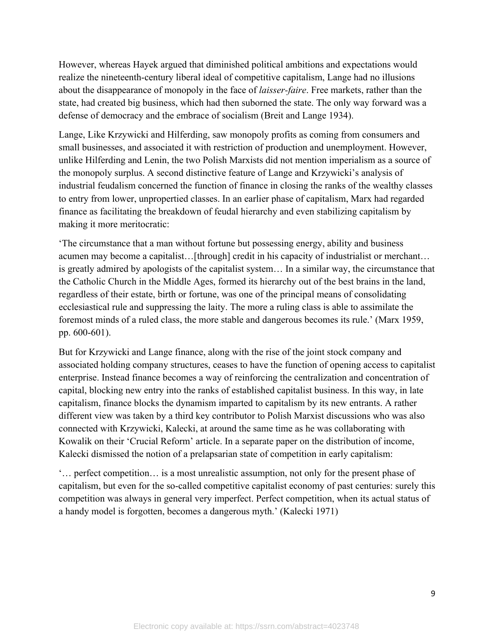However, whereas Hayek argued that diminished political ambitions and expectations would realize the nineteenth-century liberal ideal of competitive capitalism, Lange had no illusions about the disappearance of monopoly in the face of *laisser-faire*. Free markets, rather than the state, had created big business, which had then suborned the state. The only way forward was a defense of democracy and the embrace of socialism (Breit and Lange 1934).

Lange, Like Krzywicki and Hilferding, saw monopoly profits as coming from consumers and small businesses, and associated it with restriction of production and unemployment. However, unlike Hilferding and Lenin, the two Polish Marxists did not mention imperialism as a source of the monopoly surplus. A second distinctive feature of Lange and Krzywicki's analysis of industrial feudalism concerned the function of finance in closing the ranks of the wealthy classes to entry from lower, unpropertied classes. In an earlier phase of capitalism, Marx had regarded finance as facilitating the breakdown of feudal hierarchy and even stabilizing capitalism by making it more meritocratic:

'The circumstance that a man without fortune but possessing energy, ability and business acumen may become a capitalist...[through] credit in his capacity of industrialist or merchant... is greatly admired by apologists of the capitalist system… In a similar way, the circumstance that the Catholic Church in the Middle Ages, formed its hierarchy out of the best brains in the land, regardless of their estate, birth or fortune, was one of the principal means of consolidating ecclesiastical rule and suppressing the laity. The more a ruling class is able to assimilate the foremost minds of a ruled class, the more stable and dangerous becomes its rule.' (Marx 1959, pp. 600-601).

But for Krzywicki and Lange finance, along with the rise of the joint stock company and associated holding company structures, ceases to have the function of opening access to capitalist enterprise. Instead finance becomes a way of reinforcing the centralization and concentration of capital, blocking new entry into the ranks of established capitalist business. In this way, in late capitalism, finance blocks the dynamism imparted to capitalism by its new entrants. A rather different view was taken by a third key contributor to Polish Marxist discussions who was also connected with Krzywicki, Kalecki, at around the same time as he was collaborating with Kowalik on their 'Crucial Reform' article. In a separate paper on the distribution of income, Kalecki dismissed the notion of a prelapsarian state of competition in early capitalism:

'… perfect competition… is a most unrealistic assumption, not only for the present phase of capitalism, but even for the so-called competitive capitalist economy of past centuries: surely this competition was always in general very imperfect. Perfect competition, when its actual status of a handy model is forgotten, becomes a dangerous myth.' (Kalecki 1971)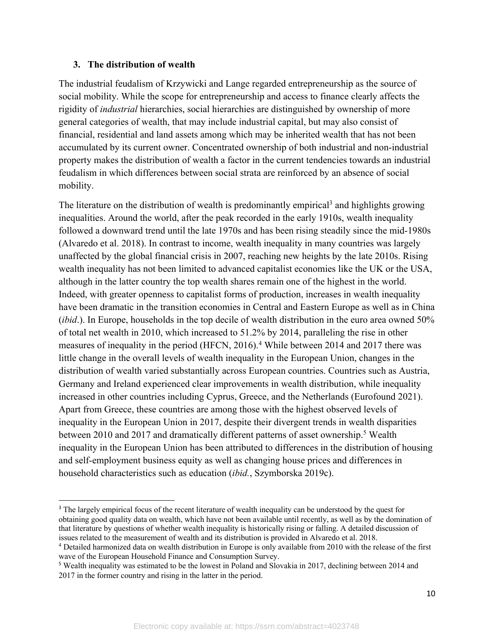#### **3. The distribution of wealth**

The industrial feudalism of Krzywicki and Lange regarded entrepreneurship as the source of social mobility. While the scope for entrepreneurship and access to finance clearly affects the rigidity of *industrial* hierarchies, social hierarchies are distinguished by ownership of more general categories of wealth, that may include industrial capital, but may also consist of financial, residential and land assets among which may be inherited wealth that has not been accumulated by its current owner. Concentrated ownership of both industrial and non-industrial property makes the distribution of wealth a factor in the current tendencies towards an industrial feudalism in which differences between social strata are reinforced by an absence of social mobility.

The literature on the distribution of wealth is predominantly empirical<sup>3</sup> and highlights growing inequalities. Around the world, after the peak recorded in the early 1910s, wealth inequality followed a downward trend until the late 1970s and has been rising steadily since the mid-1980s (Alvaredo et al. 2018). In contrast to income, wealth inequality in many countries was largely unaffected by the global financial crisis in 2007, reaching new heights by the late 2010s. Rising wealth inequality has not been limited to advanced capitalist economies like the UK or the USA, although in the latter country the top wealth shares remain one of the highest in the world. Indeed, with greater openness to capitalist forms of production, increases in wealth inequality have been dramatic in the transition economies in Central and Eastern Europe as well as in China (*ibid*.). In Europe, households in the top decile of wealth distribution in the euro area owned 50% of total net wealth in 2010, which increased to 51.2% by 2014, paralleling the rise in other measures of inequality in the period (HFCN, 2016).<sup>4</sup> While between 2014 and 2017 there was little change in the overall levels of wealth inequality in the European Union, changes in the distribution of wealth varied substantially across European countries. Countries such as Austria, Germany and Ireland experienced clear improvements in wealth distribution, while inequality increased in other countries including Cyprus, Greece, and the Netherlands (Eurofound 2021). Apart from Greece, these countries are among those with the highest observed levels of inequality in the European Union in 2017, despite their divergent trends in wealth disparities between 2010 and 2017 and dramatically different patterns of asset ownership.<sup>5</sup> Wealth inequality in the European Union has been attributed to differences in the distribution of housing and self-employment business equity as well as changing house prices and differences in household characteristics such as education (*ibid.*, Szymborska 2019c).

<sup>&</sup>lt;sup>3</sup> The largely empirical focus of the recent literature of wealth inequality can be understood by the quest for obtaining good quality data on wealth, which have not been available until recently, as well as by the domination of that literature by questions of whether wealth inequality is historically rising or falling. A detailed discussion of issues related to the measurement of wealth and its distribution is provided in Alvaredo et al. 2018.

<sup>4</sup> Detailed harmonized data on wealth distribution in Europe is only available from 2010 with the release of the first wave of the European Household Finance and Consumption Survey.

<sup>5</sup> Wealth inequality was estimated to be the lowest in Poland and Slovakia in 2017, declining between 2014 and 2017 in the former country and rising in the latter in the period.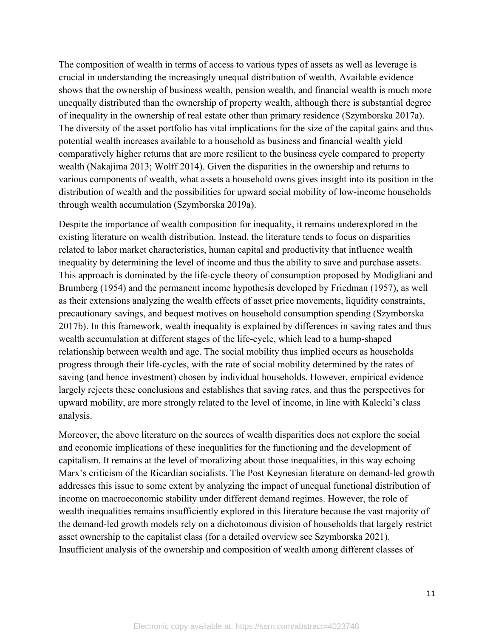The composition of wealth in terms of access to various types of assets as well as leverage is crucial in understanding the increasingly unequal distribution of wealth. Available evidence shows that the ownership of business wealth, pension wealth, and financial wealth is much more unequally distributed than the ownership of property wealth, although there is substantial degree of inequality in the ownership of real estate other than primary residence (Szymborska 2017a). The diversity of the asset portfolio has vital implications for the size of the capital gains and thus potential wealth increases available to a household as business and financial wealth yield comparatively higher returns that are more resilient to the business cycle compared to property wealth (Nakajima 2013; Wolff 2014). Given the disparities in the ownership and returns to various components of wealth, what assets a household owns gives insight into its position in the distribution of wealth and the possibilities for upward social mobility of low-income households through wealth accumulation (Szymborska 2019a).

Despite the importance of wealth composition for inequality, it remains underexplored in the existing literature on wealth distribution. Instead, the literature tends to focus on disparities related to labor market characteristics, human capital and productivity that influence wealth inequality by determining the level of income and thus the ability to save and purchase assets. This approach is dominated by the life-cycle theory of consumption proposed by Modigliani and Brumberg (1954) and the permanent income hypothesis developed by Friedman (1957), as well as their extensions analyzing the wealth effects of asset price movements, liquidity constraints, precautionary savings, and bequest motives on household consumption spending (Szymborska 2017b). In this framework, wealth inequality is explained by differences in saving rates and thus wealth accumulation at different stages of the life-cycle, which lead to a hump-shaped relationship between wealth and age. The social mobility thus implied occurs as households progress through their life-cycles, with the rate of social mobility determined by the rates of saving (and hence investment) chosen by individual households. However, empirical evidence largely rejects these conclusions and establishes that saving rates, and thus the perspectives for upward mobility, are more strongly related to the level of income, in line with Kalecki's class analysis.

Moreover, the above literature on the sources of wealth disparities does not explore the social and economic implications of these inequalities for the functioning and the development of capitalism. It remains at the level of moralizing about those inequalities, in this way echoing Marx's criticism of the Ricardian socialists. The Post Keynesian literature on demand-led growth addresses this issue to some extent by analyzing the impact of unequal functional distribution of income on macroeconomic stability under different demand regimes. However, the role of wealth inequalities remains insufficiently explored in this literature because the vast majority of the demand-led growth models rely on a dichotomous division of households that largely restrict asset ownership to the capitalist class (for a detailed overview see Szymborska 2021). Insufficient analysis of the ownership and composition of wealth among different classes of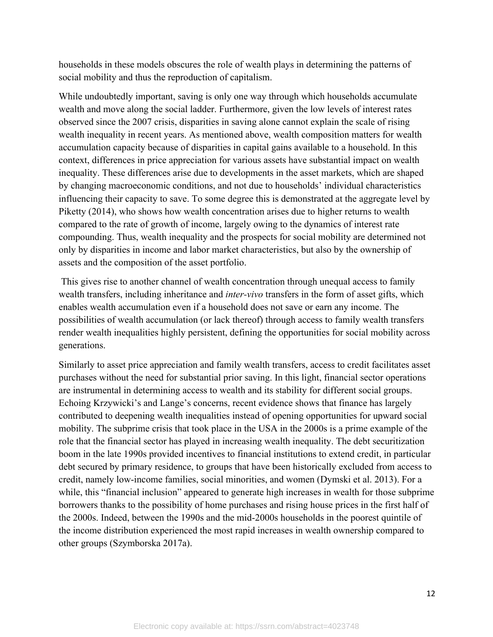households in these models obscures the role of wealth plays in determining the patterns of social mobility and thus the reproduction of capitalism.

While undoubtedly important, saving is only one way through which households accumulate wealth and move along the social ladder. Furthermore, given the low levels of interest rates observed since the 2007 crisis, disparities in saving alone cannot explain the scale of rising wealth inequality in recent years. As mentioned above, wealth composition matters for wealth accumulation capacity because of disparities in capital gains available to a household. In this context, differences in price appreciation for various assets have substantial impact on wealth inequality. These differences arise due to developments in the asset markets, which are shaped by changing macroeconomic conditions, and not due to households' individual characteristics influencing their capacity to save. To some degree this is demonstrated at the aggregate level by Piketty (2014), who shows how wealth concentration arises due to higher returns to wealth compared to the rate of growth of income, largely owing to the dynamics of interest rate compounding. Thus, wealth inequality and the prospects for social mobility are determined not only by disparities in income and labor market characteristics, but also by the ownership of assets and the composition of the asset portfolio.

This gives rise to another channel of wealth concentration through unequal access to family wealth transfers, including inheritance and *inter-vivo* transfers in the form of asset gifts, which enables wealth accumulation even if a household does not save or earn any income. The possibilities of wealth accumulation (or lack thereof) through access to family wealth transfers render wealth inequalities highly persistent, defining the opportunities for social mobility across generations.

Similarly to asset price appreciation and family wealth transfers, access to credit facilitates asset purchases without the need for substantial prior saving. In this light, financial sector operations are instrumental in determining access to wealth and its stability for different social groups. Echoing Krzywicki's and Lange's concerns, recent evidence shows that finance has largely contributed to deepening wealth inequalities instead of opening opportunities for upward social mobility. The subprime crisis that took place in the USA in the 2000s is a prime example of the role that the financial sector has played in increasing wealth inequality. The debt securitization boom in the late 1990s provided incentives to financial institutions to extend credit, in particular debt secured by primary residence, to groups that have been historically excluded from access to credit, namely low-income families, social minorities, and women (Dymski et al. 2013). For a while, this "financial inclusion" appeared to generate high increases in wealth for those subprime borrowers thanks to the possibility of home purchases and rising house prices in the first half of the 2000s. Indeed, between the 1990s and the mid-2000s households in the poorest quintile of the income distribution experienced the most rapid increases in wealth ownership compared to other groups (Szymborska 2017a).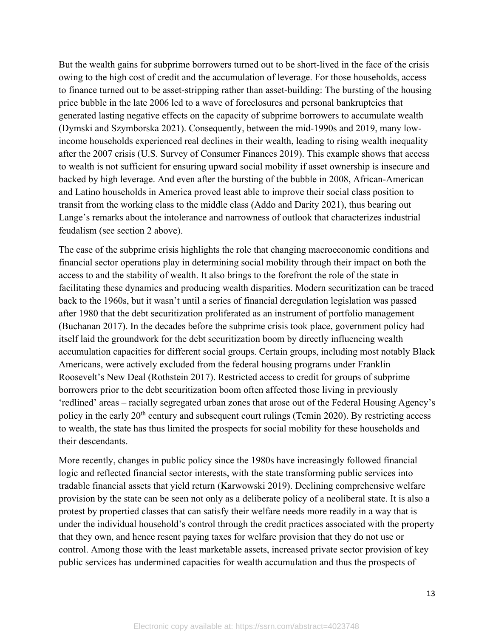But the wealth gains for subprime borrowers turned out to be short-lived in the face of the crisis owing to the high cost of credit and the accumulation of leverage. For those households, access to finance turned out to be asset-stripping rather than asset-building: The bursting of the housing price bubble in the late 2006 led to a wave of foreclosures and personal bankruptcies that generated lasting negative effects on the capacity of subprime borrowers to accumulate wealth (Dymski and Szymborska 2021). Consequently, between the mid-1990s and 2019, many lowincome households experienced real declines in their wealth, leading to rising wealth inequality after the 2007 crisis (U.S. Survey of Consumer Finances 2019). This example shows that access to wealth is not sufficient for ensuring upward social mobility if asset ownership is insecure and backed by high leverage. And even after the bursting of the bubble in 2008, African-American and Latino households in America proved least able to improve their social class position to transit from the working class to the middle class (Addo and Darity 2021), thus bearing out Lange's remarks about the intolerance and narrowness of outlook that characterizes industrial feudalism (see section 2 above).

The case of the subprime crisis highlights the role that changing macroeconomic conditions and financial sector operations play in determining social mobility through their impact on both the access to and the stability of wealth. It also brings to the forefront the role of the state in facilitating these dynamics and producing wealth disparities. Modern securitization can be traced back to the 1960s, but it wasn't until a series of financial deregulation legislation was passed after 1980 that the debt securitization proliferated as an instrument of portfolio management (Buchanan 2017). In the decades before the subprime crisis took place, government policy had itself laid the groundwork for the debt securitization boom by directly influencing wealth accumulation capacities for different social groups. Certain groups, including most notably Black Americans, were actively excluded from the federal housing programs under Franklin Roosevelt's New Deal (Rothstein 2017). Restricted access to credit for groups of subprime borrowers prior to the debt securitization boom often affected those living in previously 'redlined' areas – racially segregated urban zones that arose out of the Federal Housing Agency's policy in the early 20<sup>th</sup> century and subsequent court rulings (Temin 2020). By restricting access to wealth, the state has thus limited the prospects for social mobility for these households and their descendants.

More recently, changes in public policy since the 1980s have increasingly followed financial logic and reflected financial sector interests, with the state transforming public services into tradable financial assets that yield return (Karwowski 2019). Declining comprehensive welfare provision by the state can be seen not only as a deliberate policy of a neoliberal state. It is also a protest by propertied classes that can satisfy their welfare needs more readily in a way that is under the individual household's control through the credit practices associated with the property that they own, and hence resent paying taxes for welfare provision that they do not use or control. Among those with the least marketable assets, increased private sector provision of key public services has undermined capacities for wealth accumulation and thus the prospects of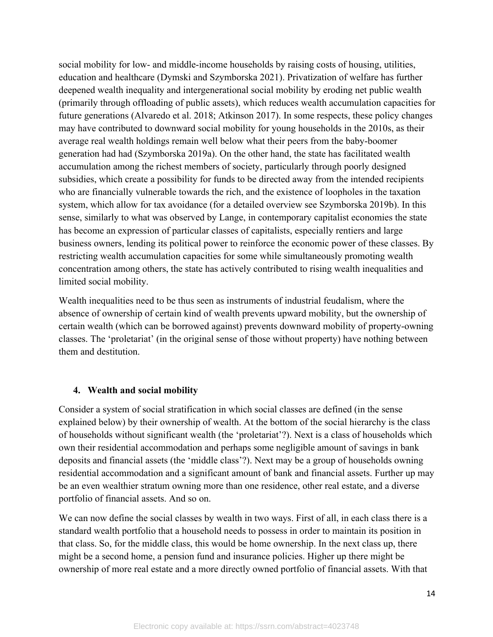social mobility for low- and middle-income households by raising costs of housing, utilities, education and healthcare (Dymski and Szymborska 2021). Privatization of welfare has further deepened wealth inequality and intergenerational social mobility by eroding net public wealth (primarily through offloading of public assets), which reduces wealth accumulation capacities for future generations (Alvaredo et al. 2018; Atkinson 2017). In some respects, these policy changes may have contributed to downward social mobility for young households in the 2010s, as their average real wealth holdings remain well below what their peers from the baby-boomer generation had had (Szymborska 2019a). On the other hand, the state has facilitated wealth accumulation among the richest members of society, particularly through poorly designed subsidies, which create a possibility for funds to be directed away from the intended recipients who are financially vulnerable towards the rich, and the existence of loopholes in the taxation system, which allow for tax avoidance (for a detailed overview see Szymborska 2019b). In this sense, similarly to what was observed by Lange, in contemporary capitalist economies the state has become an expression of particular classes of capitalists, especially rentiers and large business owners, lending its political power to reinforce the economic power of these classes. By restricting wealth accumulation capacities for some while simultaneously promoting wealth concentration among others, the state has actively contributed to rising wealth inequalities and limited social mobility.

Wealth inequalities need to be thus seen as instruments of industrial feudalism, where the absence of ownership of certain kind of wealth prevents upward mobility, but the ownership of certain wealth (which can be borrowed against) prevents downward mobility of property-owning classes. The 'proletariat' (in the original sense of those without property) have nothing between them and destitution.

#### **4. Wealth and social mobility**

Consider a system of social stratification in which social classes are defined (in the sense explained below) by their ownership of wealth. At the bottom of the social hierarchy is the class of households without significant wealth (the 'proletariat'?). Next is a class of households which own their residential accommodation and perhaps some negligible amount of savings in bank deposits and financial assets (the 'middle class'?). Next may be a group of households owning residential accommodation and a significant amount of bank and financial assets. Further up may be an even wealthier stratum owning more than one residence, other real estate, and a diverse portfolio of financial assets. And so on.

We can now define the social classes by wealth in two ways. First of all, in each class there is a standard wealth portfolio that a household needs to possess in order to maintain its position in that class. So, for the middle class, this would be home ownership. In the next class up, there might be a second home, a pension fund and insurance policies. Higher up there might be ownership of more real estate and a more directly owned portfolio of financial assets. With that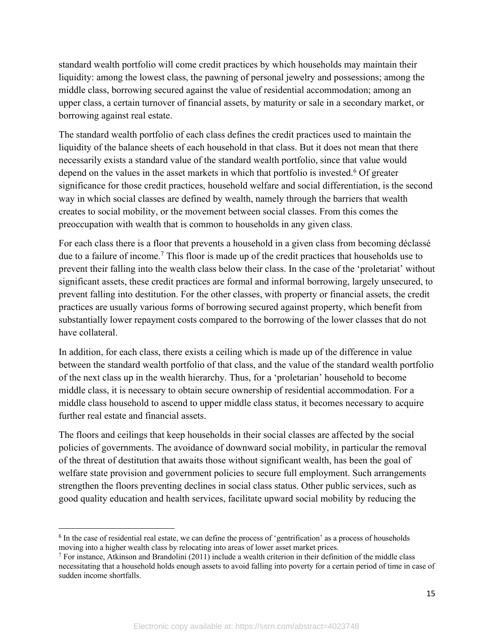standard wealth portfolio will come credit practices by which households may maintain their liquidity: among the lowest class, the pawning of personal jewelry and possessions; among the middle class, borrowing secured against the value of residential accommodation; among an upper class, a certain turnover of financial assets, by maturity or sale in a secondary market, or borrowing against real estate.

The standard wealth portfolio of each class defines the credit practices used to maintain the liquidity of the balance sheets of each household in that class. But it does not mean that there necessarily exists a standard value of the standard wealth portfolio, since that value would depend on the values in the asset markets in which that portfolio is invested.<sup>6</sup> Of greater significance for those credit practices, household welfare and social differentiation, is the second way in which social classes are defined by wealth, namely through the barriers that wealth creates to social mobility, or the movement between social classes. From this comes the preoccupation with wealth that is common to households in any given class.

For each class there is a floor that prevents a household in a given class from becoming déclassé due to a failure of income. <sup>7</sup> This floor is made up of the credit practices that households use to prevent their falling into the wealth class below their class. In the case of the 'proletariat' without significant assets, these credit practices are formal and informal borrowing, largely unsecured, to prevent falling into destitution. For the other classes, with property or financial assets, the credit practices are usually various forms of borrowing secured against property, which benefit from substantially lower repayment costs compared to the borrowing of the lower classes that do not have collateral.

In addition, for each class, there exists a ceiling which is made up of the difference in value between the standard wealth portfolio of that class, and the value of the standard wealth portfolio of the next class up in the wealth hierarchy. Thus, for a 'proletarian' household to become middle class, it is necessary to obtain secure ownership of residential accommodation. For a middle class household to ascend to upper middle class status, it becomes necessary to acquire further real estate and financial assets.

The floors and ceilings that keep households in their social classes are affected by the social policies of governments. The avoidance of downward social mobility, in particular the removal of the threat of destitution that awaits those without significant wealth, has been the goal of welfare state provision and government policies to secure full employment. Such arrangements strengthen the floors preventing declines in social class status. Other public services, such as good quality education and health services, facilitate upward social mobility by reducing the

<sup>&</sup>lt;sup>6</sup> In the case of residential real estate, we can define the process of 'gentrification' as a process of households moving into a higher wealth class by relocating into areas of lower asset market prices.

 $7$  For instance, Atkinson and Brandolini (2011) include a wealth criterion in their definition of the middle class necessitating that a household holds enough assets to avoid falling into poverty for a certain period of time in case of sudden income shortfalls.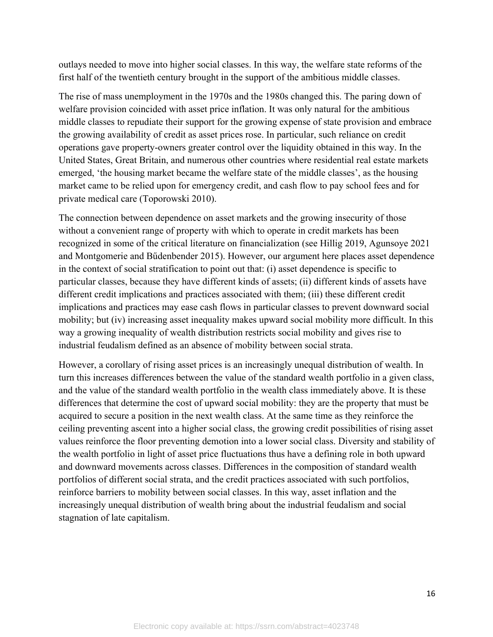outlays needed to move into higher social classes. In this way, the welfare state reforms of the first half of the twentieth century brought in the support of the ambitious middle classes.

The rise of mass unemployment in the 1970s and the 1980s changed this. The paring down of welfare provision coincided with asset price inflation. It was only natural for the ambitious middle classes to repudiate their support for the growing expense of state provision and embrace the growing availability of credit as asset prices rose. In particular, such reliance on credit operations gave property-owners greater control over the liquidity obtained in this way. In the United States, Great Britain, and numerous other countries where residential real estate markets emerged, 'the housing market became the welfare state of the middle classes', as the housing market came to be relied upon for emergency credit, and cash flow to pay school fees and for private medical care (Toporowski 2010).

The connection between dependence on asset markets and the growing insecurity of those without a convenient range of property with which to operate in credit markets has been recognized in some of the critical literature on financialization (see Hillig 2019, Agunsoye 2021 and Montgomerie and Bűdenbender 2015). However, our argument here places asset dependence in the context of social stratification to point out that: (i) asset dependence is specific to particular classes, because they have different kinds of assets; (ii) different kinds of assets have different credit implications and practices associated with them; (iii) these different credit implications and practices may ease cash flows in particular classes to prevent downward social mobility; but (iv) increasing asset inequality makes upward social mobility more difficult. In this way a growing inequality of wealth distribution restricts social mobility and gives rise to industrial feudalism defined as an absence of mobility between social strata.

However, a corollary of rising asset prices is an increasingly unequal distribution of wealth. In turn this increases differences between the value of the standard wealth portfolio in a given class, and the value of the standard wealth portfolio in the wealth class immediately above. It is these differences that determine the cost of upward social mobility: they are the property that must be acquired to secure a position in the next wealth class. At the same time as they reinforce the ceiling preventing ascent into a higher social class, the growing credit possibilities of rising asset values reinforce the floor preventing demotion into a lower social class. Diversity and stability of the wealth portfolio in light of asset price fluctuations thus have a defining role in both upward and downward movements across classes. Differences in the composition of standard wealth portfolios of different social strata, and the credit practices associated with such portfolios, reinforce barriers to mobility between social classes. In this way, asset inflation and the increasingly unequal distribution of wealth bring about the industrial feudalism and social stagnation of late capitalism.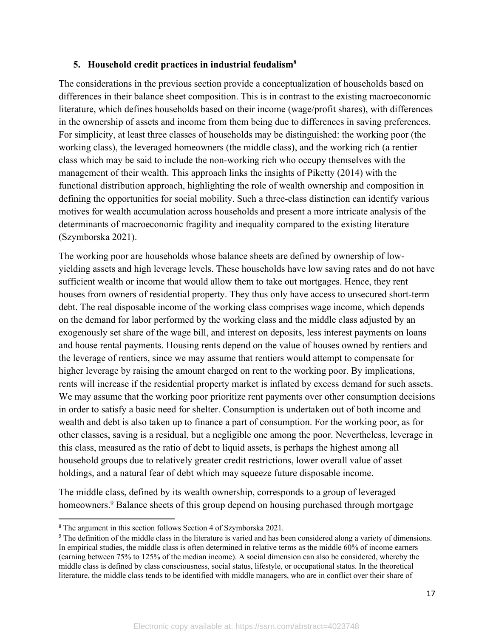#### **5. Household credit practices in industrial feudalism8**

The considerations in the previous section provide a conceptualization of households based on differences in their balance sheet composition. This is in contrast to the existing macroeconomic literature, which defines households based on their income (wage/profit shares), with differences in the ownership of assets and income from them being due to differences in saving preferences. For simplicity, at least three classes of households may be distinguished: the working poor (the working class), the leveraged homeowners (the middle class), and the working rich (a rentier class which may be said to include the non-working rich who occupy themselves with the management of their wealth. This approach links the insights of Piketty (2014) with the functional distribution approach, highlighting the role of wealth ownership and composition in defining the opportunities for social mobility. Such a three-class distinction can identify various motives for wealth accumulation across households and present a more intricate analysis of the determinants of macroeconomic fragility and inequality compared to the existing literature (Szymborska 2021).

The working poor are households whose balance sheets are defined by ownership of lowyielding assets and high leverage levels. These households have low saving rates and do not have sufficient wealth or income that would allow them to take out mortgages. Hence, they rent houses from owners of residential property. They thus only have access to unsecured short-term debt. The real disposable income of the working class comprises wage income, which depends on the demand for labor performed by the working class and the middle class adjusted by an exogenously set share of the wage bill, and interest on deposits, less interest payments on loans and house rental payments. Housing rents depend on the value of houses owned by rentiers and the leverage of rentiers, since we may assume that rentiers would attempt to compensate for higher leverage by raising the amount charged on rent to the working poor. By implications, rents will increase if the residential property market is inflated by excess demand for such assets. We may assume that the working poor prioritize rent payments over other consumption decisions in order to satisfy a basic need for shelter. Consumption is undertaken out of both income and wealth and debt is also taken up to finance a part of consumption. For the working poor, as for other classes, saving is a residual, but a negligible one among the poor. Nevertheless, leverage in this class, measured as the ratio of debt to liquid assets, is perhaps the highest among all household groups due to relatively greater credit restrictions, lower overall value of asset holdings, and a natural fear of debt which may squeeze future disposable income.

The middle class, defined by its wealth ownership, corresponds to a group of leveraged homeowners.<sup>9</sup> Balance sheets of this group depend on housing purchased through mortgage

<sup>&</sup>lt;sup>8</sup> The argument in this section follows Section 4 of Szymborska 2021.

<sup>&</sup>lt;sup>9</sup> The definition of the middle class in the literature is varied and has been considered along a variety of dimensions. In empirical studies, the middle class is often determined in relative terms as the middle 60% of income earners (earning between 75% to 125% of the median income). A social dimension can also be considered, whereby the middle class is defined by class consciousness, social status, lifestyle, or occupational status. In the theoretical literature, the middle class tends to be identified with middle managers, who are in conflict over their share of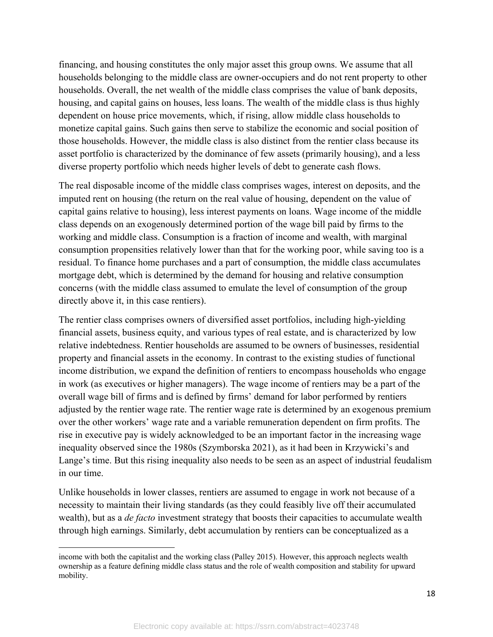financing, and housing constitutes the only major asset this group owns. We assume that all households belonging to the middle class are owner-occupiers and do not rent property to other households. Overall, the net wealth of the middle class comprises the value of bank deposits, housing, and capital gains on houses, less loans. The wealth of the middle class is thus highly dependent on house price movements, which, if rising, allow middle class households to monetize capital gains. Such gains then serve to stabilize the economic and social position of those households. However, the middle class is also distinct from the rentier class because its asset portfolio is characterized by the dominance of few assets (primarily housing), and a less diverse property portfolio which needs higher levels of debt to generate cash flows.

The real disposable income of the middle class comprises wages, interest on deposits, and the imputed rent on housing (the return on the real value of housing, dependent on the value of capital gains relative to housing), less interest payments on loans. Wage income of the middle class depends on an exogenously determined portion of the wage bill paid by firms to the working and middle class. Consumption is a fraction of income and wealth, with marginal consumption propensities relatively lower than that for the working poor, while saving too is a residual. To finance home purchases and a part of consumption, the middle class accumulates mortgage debt, which is determined by the demand for housing and relative consumption concerns (with the middle class assumed to emulate the level of consumption of the group directly above it, in this case rentiers).

The rentier class comprises owners of diversified asset portfolios, including high-yielding financial assets, business equity, and various types of real estate, and is characterized by low relative indebtedness. Rentier households are assumed to be owners of businesses, residential property and financial assets in the economy. In contrast to the existing studies of functional income distribution, we expand the definition of rentiers to encompass households who engage in work (as executives or higher managers). The wage income of rentiers may be a part of the overall wage bill of firms and is defined by firms' demand for labor performed by rentiers adjusted by the rentier wage rate. The rentier wage rate is determined by an exogenous premium over the other workers' wage rate and a variable remuneration dependent on firm profits. The rise in executive pay is widely acknowledged to be an important factor in the increasing wage inequality observed since the 1980s (Szymborska 2021), as it had been in Krzywicki's and Lange's time. But this rising inequality also needs to be seen as an aspect of industrial feudalism in our time.

Unlike households in lower classes, rentiers are assumed to engage in work not because of a necessity to maintain their living standards (as they could feasibly live off their accumulated wealth), but as a *de facto* investment strategy that boosts their capacities to accumulate wealth through high earnings. Similarly, debt accumulation by rentiers can be conceptualized as a

income with both the capitalist and the working class (Palley 2015). However, this approach neglects wealth ownership as a feature defining middle class status and the role of wealth composition and stability for upward mobility.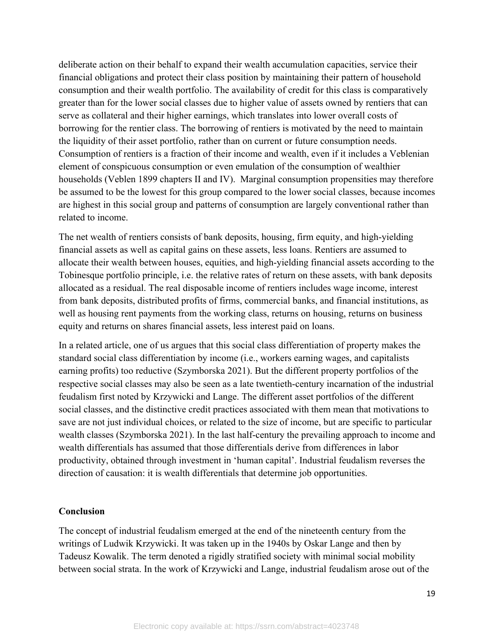deliberate action on their behalf to expand their wealth accumulation capacities, service their financial obligations and protect their class position by maintaining their pattern of household consumption and their wealth portfolio. The availability of credit for this class is comparatively greater than for the lower social classes due to higher value of assets owned by rentiers that can serve as collateral and their higher earnings, which translates into lower overall costs of borrowing for the rentier class. The borrowing of rentiers is motivated by the need to maintain the liquidity of their asset portfolio, rather than on current or future consumption needs. Consumption of rentiers is a fraction of their income and wealth, even if it includes a Veblenian element of conspicuous consumption or even emulation of the consumption of wealthier households (Veblen 1899 chapters II and IV). Marginal consumption propensities may therefore be assumed to be the lowest for this group compared to the lower social classes, because incomes are highest in this social group and patterns of consumption are largely conventional rather than related to income.

The net wealth of rentiers consists of bank deposits, housing, firm equity, and high-yielding financial assets as well as capital gains on these assets, less loans. Rentiers are assumed to allocate their wealth between houses, equities, and high-yielding financial assets according to the Tobinesque portfolio principle, i.e. the relative rates of return on these assets, with bank deposits allocated as a residual. The real disposable income of rentiers includes wage income, interest from bank deposits, distributed profits of firms, commercial banks, and financial institutions, as well as housing rent payments from the working class, returns on housing, returns on business equity and returns on shares financial assets, less interest paid on loans.

In a related article, one of us argues that this social class differentiation of property makes the standard social class differentiation by income (i.e., workers earning wages, and capitalists earning profits) too reductive (Szymborska 2021). But the different property portfolios of the respective social classes may also be seen as a late twentieth-century incarnation of the industrial feudalism first noted by Krzywicki and Lange. The different asset portfolios of the different social classes, and the distinctive credit practices associated with them mean that motivations to save are not just individual choices, or related to the size of income, but are specific to particular wealth classes (Szymborska 2021). In the last half-century the prevailing approach to income and wealth differentials has assumed that those differentials derive from differences in labor productivity, obtained through investment in 'human capital'. Industrial feudalism reverses the direction of causation: it is wealth differentials that determine job opportunities.

#### **Conclusion**

The concept of industrial feudalism emerged at the end of the nineteenth century from the writings of Ludwik Krzywicki. It was taken up in the 1940s by Oskar Lange and then by Tadeusz Kowalik. The term denoted a rigidly stratified society with minimal social mobility between social strata. In the work of Krzywicki and Lange, industrial feudalism arose out of the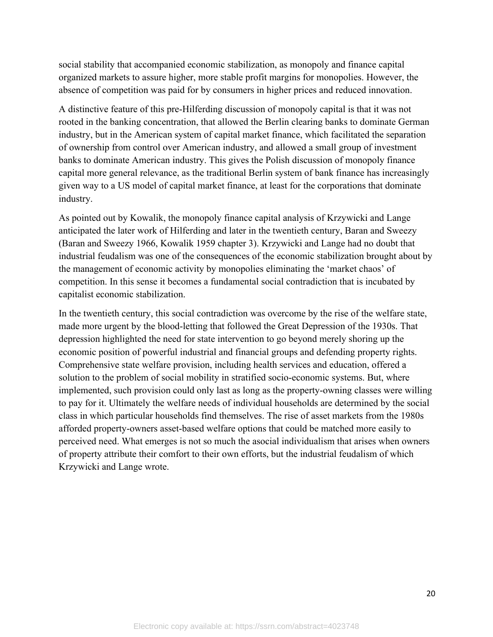social stability that accompanied economic stabilization, as monopoly and finance capital organized markets to assure higher, more stable profit margins for monopolies. However, the absence of competition was paid for by consumers in higher prices and reduced innovation.

A distinctive feature of this pre-Hilferding discussion of monopoly capital is that it was not rooted in the banking concentration, that allowed the Berlin clearing banks to dominate German industry, but in the American system of capital market finance, which facilitated the separation of ownership from control over American industry, and allowed a small group of investment banks to dominate American industry. This gives the Polish discussion of monopoly finance capital more general relevance, as the traditional Berlin system of bank finance has increasingly given way to a US model of capital market finance, at least for the corporations that dominate industry.

As pointed out by Kowalik, the monopoly finance capital analysis of Krzywicki and Lange anticipated the later work of Hilferding and later in the twentieth century, Baran and Sweezy (Baran and Sweezy 1966, Kowalik 1959 chapter 3). Krzywicki and Lange had no doubt that industrial feudalism was one of the consequences of the economic stabilization brought about by the management of economic activity by monopolies eliminating the 'market chaos' of competition. In this sense it becomes a fundamental social contradiction that is incubated by capitalist economic stabilization.

In the twentieth century, this social contradiction was overcome by the rise of the welfare state, made more urgent by the blood-letting that followed the Great Depression of the 1930s. That depression highlighted the need for state intervention to go beyond merely shoring up the economic position of powerful industrial and financial groups and defending property rights. Comprehensive state welfare provision, including health services and education, offered a solution to the problem of social mobility in stratified socio-economic systems. But, where implemented, such provision could only last as long as the property-owning classes were willing to pay for it. Ultimately the welfare needs of individual households are determined by the social class in which particular households find themselves. The rise of asset markets from the 1980s afforded property-owners asset-based welfare options that could be matched more easily to perceived need. What emerges is not so much the asocial individualism that arises when owners of property attribute their comfort to their own efforts, but the industrial feudalism of which Krzywicki and Lange wrote.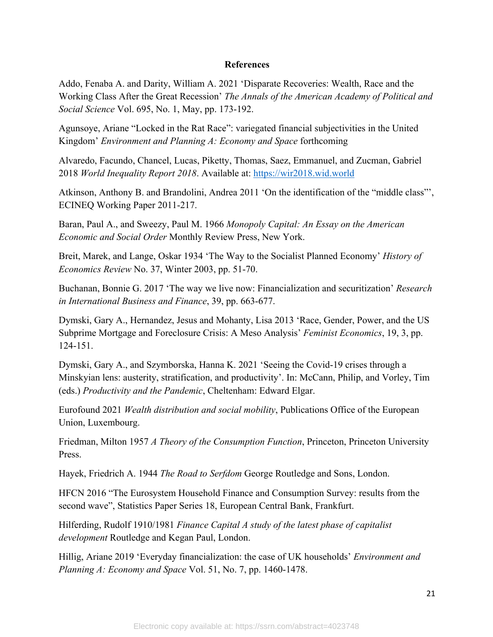#### **References**

Addo, Fenaba A. and Darity, William A. 2021 'Disparate Recoveries: Wealth, Race and the Working Class After the Great Recession' *The Annals of the American Academy of Political and Social Science* Vol. 695, No. 1, May, pp. 173-192.

Agunsoye, Ariane "Locked in the Rat Race": variegated financial subjectivities in the United Kingdom' *Environment and Planning A: Economy and Space* forthcoming

Alvaredo, Facundo, Chancel, Lucas, Piketty, Thomas, Saez, Emmanuel, and Zucman, Gabriel 2018 *World Inequality Report 2018*. Available at: https://wir2018.wid.world

Atkinson, Anthony B. and Brandolini, Andrea 2011 'On the identification of the "middle class"', ECINEQ Working Paper 2011-217.

Baran, Paul A., and Sweezy, Paul M. 1966 *Monopoly Capital: An Essay on the American Economic and Social Order* Monthly Review Press, New York.

Breit, Marek, and Lange, Oskar 1934 'The Way to the Socialist Planned Economy' *History of Economics Review* No. 37, Winter 2003, pp. 51-70.

Buchanan, Bonnie G. 2017 'The way we live now: Financialization and securitization' *Research in International Business and Finance*, 39, pp. 663-677.

Dymski, Gary A., Hernandez, Jesus and Mohanty, Lisa 2013 'Race, Gender, Power, and the US Subprime Mortgage and Foreclosure Crisis: A Meso Analysis' *Feminist Economics*, 19, 3, pp. 124-151.

Dymski, Gary A., and Szymborska, Hanna K. 2021 'Seeing the Covid-19 crises through a Minskyian lens: austerity, stratification, and productivity'. In: McCann, Philip, and Vorley, Tim (eds.) *Productivity and the Pandemic*, Cheltenham: Edward Elgar.

Eurofound 2021 *Wealth distribution and social mobility*, Publications Office of the European Union, Luxembourg.

Friedman, Milton 1957 *A Theory of the Consumption Function*, Princeton, Princeton University Press.

Hayek, Friedrich A. 1944 *The Road to Serfdom* George Routledge and Sons, London.

HFCN 2016 "The Eurosystem Household Finance and Consumption Survey: results from the second wave", Statistics Paper Series 18, European Central Bank, Frankfurt.

Hilferding, Rudolf 1910/1981 *Finance Capital A study of the latest phase of capitalist development* Routledge and Kegan Paul, London.

Hillig, Ariane 2019 'Everyday financialization: the case of UK households' *Environment and Planning A: Economy and Space* Vol. 51, No. 7, pp. 1460-1478.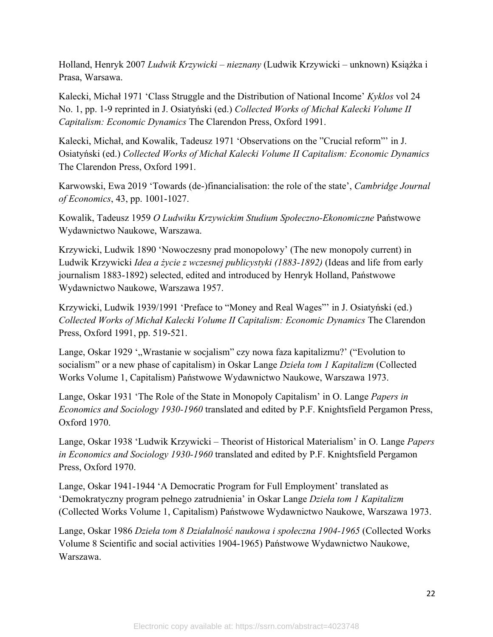Holland, Henryk 2007 *Ludwik Krzywicki – nieznany* (Ludwik Krzywicki – unknown) Książka i Prasa, Warsawa.

Kalecki, Michał 1971 'Class Struggle and the Distribution of National Income' *Kyklos* vol 24 No. 1, pp. 1-9 reprinted in J. Osiatyński (ed.) *Collected Works of Michał Kalecki Volume II Capitalism: Economic Dynamics* The Clarendon Press, Oxford 1991.

Kalecki, Michał, and Kowalik, Tadeusz 1971 'Observations on the "Crucial reform"' in J. Osiatyński (ed.) *Collected Works of Michał Kalecki Volume II Capitalism: Economic Dynamics* The Clarendon Press, Oxford 1991.

Karwowski, Ewa 2019 'Towards (de-)financialisation: the role of the state', *Cambridge Journal of Economics*, 43, pp. 1001-1027.

Kowalik, Tadeusz 1959 *O Ludwiku Krzywickim Studium Społeczno-Ekonomiczne* Państwowe Wydawnictwo Naukowe, Warszawa.

Krzywicki, Ludwik 1890 'Nowoczesny prad monopolowy' (The new monopoly current) in Ludwik Krzywicki *Idea a życie z wczesnej publicystyki (1883-1892)* (Ideas and life from early journalism 1883-1892) selected, edited and introduced by Henryk Holland, Państwowe Wydawnictwo Naukowe, Warszawa 1957.

Krzywicki, Ludwik 1939/1991 'Preface to "Money and Real Wages"' in J. Osiatyński (ed.) *Collected Works of Michał Kalecki Volume II Capitalism: Economic Dynamics* The Clarendon Press, Oxford 1991, pp. 519-521.

Lange, Oskar 1929 ', Wrastanie w socjalism" czy nowa faza kapitalizmu?' ("Evolution to socialism" or a new phase of capitalism) in Oskar Lange *Dzieła tom 1 Kapitalizm* (Collected Works Volume 1, Capitalism) Państwowe Wydawnictwo Naukowe, Warszawa 1973.

Lange, Oskar 1931 'The Role of the State in Monopoly Capitalism' in O. Lange *Papers in Economics and Sociology 1930-1960* translated and edited by P.F. Knightsfield Pergamon Press, Oxford 1970.

Lange, Oskar 1938 'Ludwik Krzywicki – Theorist of Historical Materialism' in O. Lange *Papers in Economics and Sociology 1930-1960* translated and edited by P.F. Knightsfield Pergamon Press, Oxford 1970.

Lange, Oskar 1941-1944 'A Democratic Program for Full Employment' translated as 'Demokratyczny program pełnego zatrudnienia' in Oskar Lange *Dzieła tom 1 Kapitalizm* (Collected Works Volume 1, Capitalism) Państwowe Wydawnictwo Naukowe, Warszawa 1973.

Lange, Oskar 1986 *Dzieła tom 8 Działalność naukowa i społeczna 1904-1965* (Collected Works Volume 8 Scientific and social activities 1904-1965) Państwowe Wydawnictwo Naukowe, Warszawa.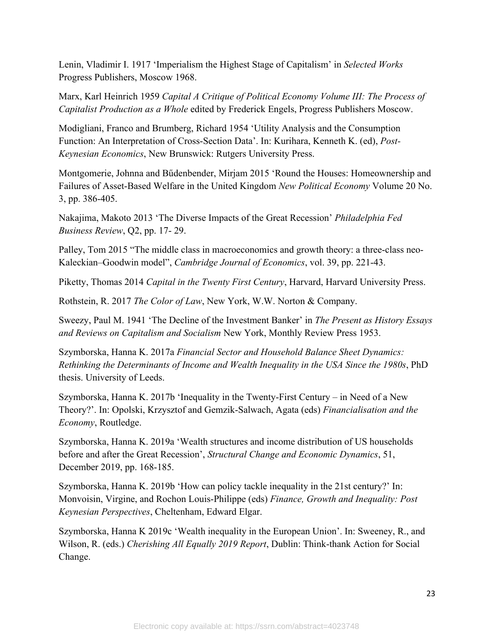Lenin, Vladimir I. 1917 'Imperialism the Highest Stage of Capitalism' in *Selected Works* Progress Publishers, Moscow 1968.

Marx, Karl Heinrich 1959 *Capital A Critique of Political Economy Volume III: The Process of Capitalist Production as a Whole* edited by Frederick Engels, Progress Publishers Moscow.

Modigliani, Franco and Brumberg, Richard 1954 'Utility Analysis and the Consumption Function: An Interpretation of Cross-Section Data'. In: Kurihara, Kenneth K. (ed), *Post-Keynesian Economics*, New Brunswick: Rutgers University Press.

Montgomerie, Johnna and Bűdenbender, Mirjam 2015 'Round the Houses: Homeownership and Failures of Asset-Based Welfare in the United Kingdom *New Political Economy* Volume 20 No. 3, pp. 386-405.

Nakajima, Makoto 2013 'The Diverse Impacts of the Great Recession' *Philadelphia Fed Business Review*, Q2, pp. 17- 29.

Palley, Tom 2015 "The middle class in macroeconomics and growth theory: a three-class neo-Kaleckian–Goodwin model", *Cambridge Journal of Economics*, vol. 39, pp. 221-43.

Piketty, Thomas 2014 *Capital in the Twenty First Century*, Harvard, Harvard University Press.

Rothstein, R. 2017 *The Color of Law*, New York, W.W. Norton & Company.

Sweezy, Paul M. 1941 'The Decline of the Investment Banker' in *The Present as History Essays and Reviews on Capitalism and Socialism* New York, Monthly Review Press 1953.

Szymborska, Hanna K. 2017a *Financial Sector and Household Balance Sheet Dynamics: Rethinking the Determinants of Income and Wealth Inequality in the USA Since the 1980s*, PhD thesis. University of Leeds.

Szymborska, Hanna K. 2017b 'Inequality in the Twenty-First Century – in Need of a New Theory?'. In: Opolski, Krzysztof and Gemzik-Salwach, Agata (eds) *Financialisation and the Economy*, Routledge.

Szymborska, Hanna K. 2019a 'Wealth structures and income distribution of US households before and after the Great Recession', *Structural Change and Economic Dynamics*, 51, December 2019, pp. 168-185.

Szymborska, Hanna K. 2019b 'How can policy tackle inequality in the 21st century?' In: Monvoisin, Virgine, and Rochon Louis-Philippe (eds) *Finance, Growth and Inequality: Post Keynesian Perspectives*, Cheltenham, Edward Elgar.

Szymborska, Hanna K 2019c 'Wealth inequality in the European Union'. In: Sweeney, R., and Wilson, R. (eds.) *Cherishing All Equally 2019 Report*, Dublin: Think-thank Action for Social Change.